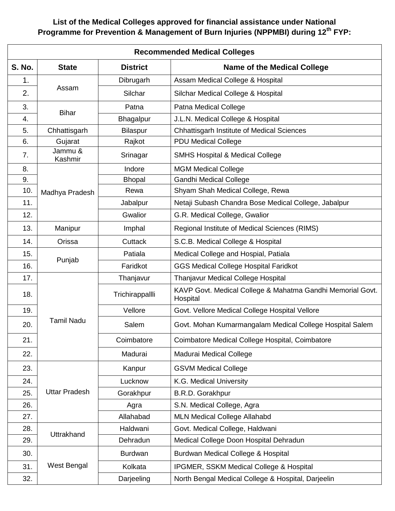## **List of the Medical Colleges approved for financial assistance under National Programme for Prevention & Management of Burn Injuries (NPPMBI) during 12th FYP:**

| <b>Recommended Medical Colleges</b> |                      |                  |                                                                        |  |
|-------------------------------------|----------------------|------------------|------------------------------------------------------------------------|--|
| <b>S. No.</b>                       | <b>State</b>         | <b>District</b>  | <b>Name of the Medical College</b>                                     |  |
| 1.                                  | Assam                | Dibrugarh        | Assam Medical College & Hospital                                       |  |
| 2.                                  |                      | Silchar          | Silchar Medical College & Hospital                                     |  |
| 3.                                  | <b>Bihar</b>         | Patna            | Patna Medical College                                                  |  |
| 4.                                  |                      | <b>Bhagalpur</b> | J.L.N. Medical College & Hospital                                      |  |
| 5.                                  | Chhattisgarh         | <b>Bilaspur</b>  | <b>Chhattisgarh Institute of Medical Sciences</b>                      |  |
| 6.                                  | Gujarat              | Rajkot           | <b>PDU Medical College</b>                                             |  |
| 7.                                  | Jammu &<br>Kashmir   | Srinagar         | <b>SMHS Hospital &amp; Medical College</b>                             |  |
| 8.                                  |                      | Indore           | <b>MGM Medical College</b>                                             |  |
| 9.                                  |                      | <b>Bhopal</b>    | <b>Gandhi Medical College</b>                                          |  |
| 10.                                 | Madhya Pradesh       | Rewa             | Shyam Shah Medical College, Rewa                                       |  |
| 11.                                 |                      | Jabalpur         | Netaji Subash Chandra Bose Medical College, Jabalpur                   |  |
| 12.                                 |                      | Gwalior          | G.R. Medical College, Gwalior                                          |  |
| 13.                                 | Manipur              | Imphal           | Regional Institute of Medical Sciences (RIMS)                          |  |
| 14.                                 | Orissa               | <b>Cuttack</b>   | S.C.B. Medical College & Hospital                                      |  |
| 15.                                 |                      | Patiala          | Medical College and Hospial, Patiala                                   |  |
| 16.                                 | Punjab               | Faridkot         | <b>GGS Medical College Hospital Faridkot</b>                           |  |
| 17.                                 | <b>Tamil Nadu</b>    | Thanjavur        | Thanjavur Medical College Hospital                                     |  |
| 18.                                 |                      | Trichirappallli  | KAVP Govt. Medical College & Mahatma Gandhi Memorial Govt.<br>Hospital |  |
| 19.                                 |                      | Vellore          | Govt. Vellore Medical College Hospital Vellore                         |  |
| 20.                                 |                      | Salem            | Govt. Mohan Kumarmangalam Medical College Hospital Salem               |  |
| 21.                                 |                      | Coimbatore       | Coimbatore Medical College Hospital, Coimbatore                        |  |
| 22.                                 |                      | Madurai          | Madurai Medical College                                                |  |
| 23.                                 | <b>Uttar Pradesh</b> | Kanpur           | <b>GSVM Medical College</b>                                            |  |
| 24.                                 |                      | Lucknow          | K.G. Medical University                                                |  |
| 25.                                 |                      | Gorakhpur        | B.R.D. Gorakhpur                                                       |  |
| 26.                                 |                      | Agra             | S.N. Medical College, Agra                                             |  |
| 27.                                 |                      | Allahabad        | <b>MLN Medical College Allahabd</b>                                    |  |
| 28.                                 | Uttrakhand           | Haldwani         | Govt. Medical College, Haldwani                                        |  |
| 29.                                 |                      | Dehradun         | Medical College Doon Hospital Dehradun                                 |  |
| 30.                                 | West Bengal          | <b>Burdwan</b>   | Burdwan Medical College & Hospital                                     |  |
| 31.                                 |                      | Kolkata          | IPGMER, SSKM Medical College & Hospital                                |  |
| 32.                                 |                      | Darjeeling       | North Bengal Medical College & Hospital, Darjeelin                     |  |